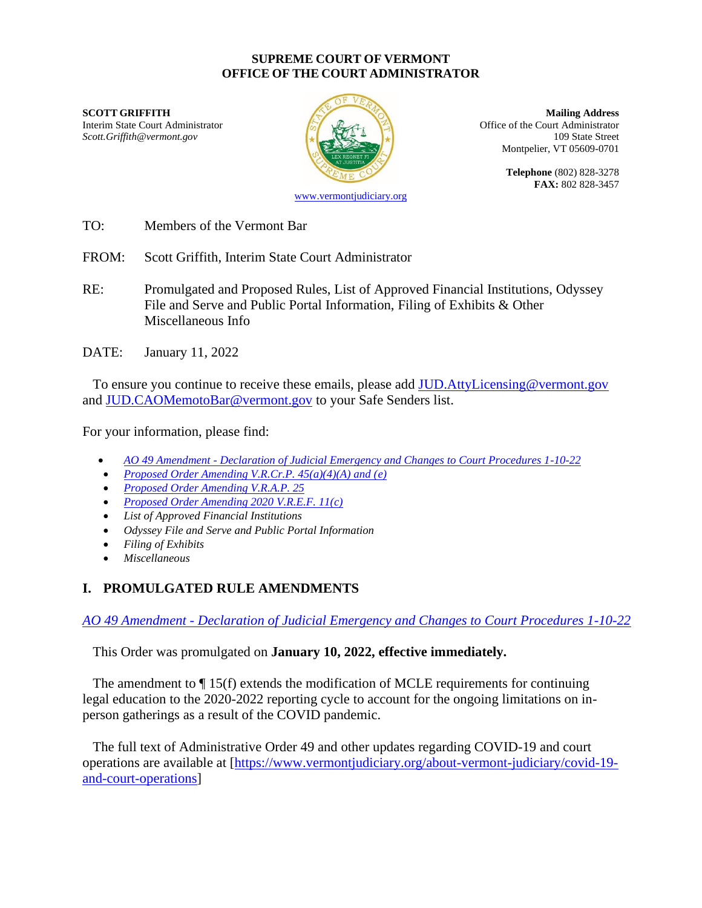#### **SUPREME COURT OF VERMONT OFFICE OF THE COURT ADMINISTRATOR**

**SCOTT GRIFFITH Mailing Address** Interim State Court Administrator (Court Administrator of the Court Administrator of the Court Administrator *Scott.Griffith@vermont.gov* 109 State Street



Montpelier, VT 05609-0701

**Telephone** (802) 828-3278 **FAX:** 802 828-3457

- TO: Members of the Vermont Bar
- FROM: Scott Griffith, Interim State Court Administrator
- RE: Promulgated and Proposed Rules, List of Approved Financial Institutions, Odyssey File and Serve and Public Portal Information, Filing of Exhibits & Other Miscellaneous Info
- DATE: January 11, 2022

To ensure you continue to receive these emails, please add JUD. AttyLicensing@vermont.gov and [JUD.CAOMemotoBar@vermont.gov](mailto:JUD.CAOMemotoBar@vermont.gov) to your Safe Senders list.

For your information, please find:

- *AO 49 Amendment - [Declaration of Judicial Emergency and Changes to Court Procedures 1-10-22](https://www.vermontjudiciary.org/sites/default/files/documents/PROMULGATEDAO%2049%20Amendment%20-%20Declaration%20of%20Judicial%20Emergency%20and%20Changes%20to%20Court%20Procedures%20-%201-10-22--STAMPED.pdf)*
- *[Proposed Order Amending V.R.Cr.P. 45\(a\)\(4\)\(A\) and \(e\)](https://www.vermontjudiciary.org/sites/default/files/documents/PROPOSEDVRCrP45%28a%29%284%29%28A%29%20and%20%28e%29--FOR%20COMMENT.pdf)*
- *[Proposed Order Amending V.R.A.P. 25](https://www.vermontjudiciary.org/sites/default/files/documents/PROPOSEDVRAP25--FOR%20COMMENT.pdf)*
- *[Proposed Order Amending 2020 V.R.E.F. 11\(c\)](https://www.vermontjudiciary.org/sites/default/files/documents/PROPOSED2020VREF11%28c%29--FOR%20COMMENT.pdf)*
- *List of Approved Financial Institutions*
- *Odyssey File and Serve and Public Portal Information*
- *Filing of Exhibits*
- *Miscellaneous*

# **I. PROMULGATED RULE AMENDMENTS**

*AO 49 Amendment - [Declaration of Judicial Emergency and Changes to Court Procedures 1-10-22](https://www.vermontjudiciary.org/sites/default/files/documents/PROMULGATEDAO%2049%20Amendment%20-%20Declaration%20of%20Judicial%20Emergency%20and%20Changes%20to%20Court%20Procedures%20-%201-10-22--STAMPED.pdf)*

This Order was promulgated on **January 10, 2022, effective immediately.**

The amendment to  $\P$  15(f) extends the modification of MCLE requirements for continuing legal education to the 2020-2022 reporting cycle to account for the ongoing limitations on inperson gatherings as a result of the COVID pandemic.

The full text of Administrative Order 49 and other updates regarding COVID-19 and court operations are available at [\[https://www.vermontjudiciary.org/about-vermont-judiciary/covid-19](https://www.vermontjudiciary.org/about-vermont-judiciary/covid-19-and-court-operations) [and-court-operations\]](https://www.vermontjudiciary.org/about-vermont-judiciary/covid-19-and-court-operations)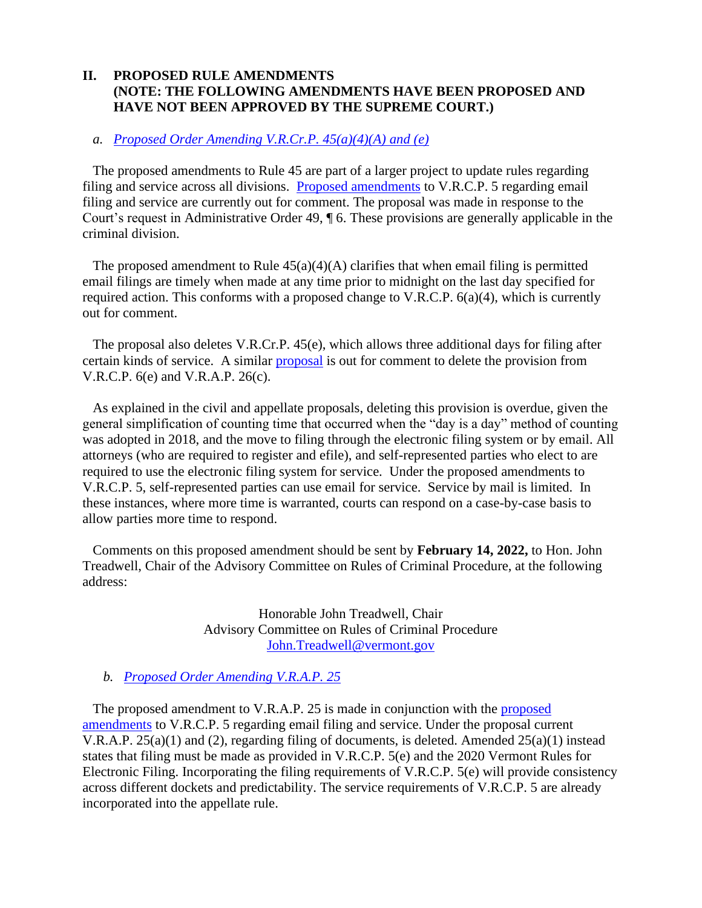## **II. PROPOSED RULE AMENDMENTS (NOTE: THE FOLLOWING AMENDMENTS HAVE BEEN PROPOSED AND HAVE NOT BEEN APPROVED BY THE SUPREME COURT.)**

#### *a. [Proposed Order Amending V.R.Cr.P. 45\(a\)\(4\)\(A\) and \(e\)](https://www.vermontjudiciary.org/sites/default/files/documents/PROPOSEDVRCrP45%28a%29%284%29%28A%29%20and%20%28e%29--FOR%20COMMENT.pdf)*

The proposed amendments to Rule 45 are part of a larger project to update rules regarding filing and service across all divisions. [Proposed amendments](https://www.vermontjudiciary.org/sites/default/files/documents/PROPOSEDVRCP%205_6%28a%29%284%29_29_79.1--FOR%20COMMENT.pdf) to V.R.C.P. 5 regarding email filing and service are currently out for comment. The proposal was made in response to the Court's request in Administrative Order 49, ¶ 6. These provisions are generally applicable in the criminal division.

The proposed amendment to Rule  $45(a)(4)(A)$  clarifies that when email filing is permitted email filings are timely when made at any time prior to midnight on the last day specified for required action. This conforms with a proposed change to V.R.C.P. 6(a)(4), which is currently out for comment.

The proposal also deletes V.R.Cr.P. 45(e), which allows three additional days for filing after certain kinds of service. A similar [proposal](https://www.vermontjudiciary.org/sites/default/files/documents/PROPOSEDVRCP6%28e%29%20VRAP26%28c%29Abrogation%20and%20Amending%20VRAP26%28d%29%281%29%20and%2031%28a%29--FOR%20COMMENT.pdf) is out for comment to delete the provision from V.R.C.P. 6(e) and V.R.A.P. 26(c).

As explained in the civil and appellate proposals, deleting this provision is overdue, given the general simplification of counting time that occurred when the "day is a day" method of counting was adopted in 2018, and the move to filing through the electronic filing system or by email. All attorneys (who are required to register and efile), and self-represented parties who elect to are required to use the electronic filing system for service. Under the proposed amendments to V.R.C.P. 5, self-represented parties can use email for service. Service by mail is limited. In these instances, where more time is warranted, courts can respond on a case-by-case basis to allow parties more time to respond.

Comments on this proposed amendment should be sent by **February 14, 2022,** to Hon. John Treadwell, Chair of the Advisory Committee on Rules of Criminal Procedure, at the following address:

> Honorable John Treadwell, Chair Advisory Committee on Rules of Criminal Procedure [John.Treadwell@vermont.gov](mailto:John.Treadwell@vermont.gov)

*b. [Proposed Order Amending V.R.A.P. 25](https://www.vermontjudiciary.org/sites/default/files/documents/PROPOSEDVRAP25--FOR%20COMMENT.pdf)*

The proposed amendment to V.R.A.P. 25 is made in conjunction with the [proposed](https://www.vermontjudiciary.org/sites/default/files/documents/PROPOSEDVRCP%205_6%28a%29%284%29_29_79.1--FOR%20COMMENT.pdf)  [amendments](https://www.vermontjudiciary.org/sites/default/files/documents/PROPOSEDVRCP%205_6%28a%29%284%29_29_79.1--FOR%20COMMENT.pdf) to V.R.C.P. 5 regarding email filing and service. Under the proposal current V.R.A.P. 25(a)(1) and (2), regarding filing of documents, is deleted. Amended 25(a)(1) instead states that filing must be made as provided in V.R.C.P. 5(e) and the 2020 Vermont Rules for Electronic Filing. Incorporating the filing requirements of V.R.C.P. 5(e) will provide consistency across different dockets and predictability. The service requirements of V.R.C.P. 5 are already incorporated into the appellate rule.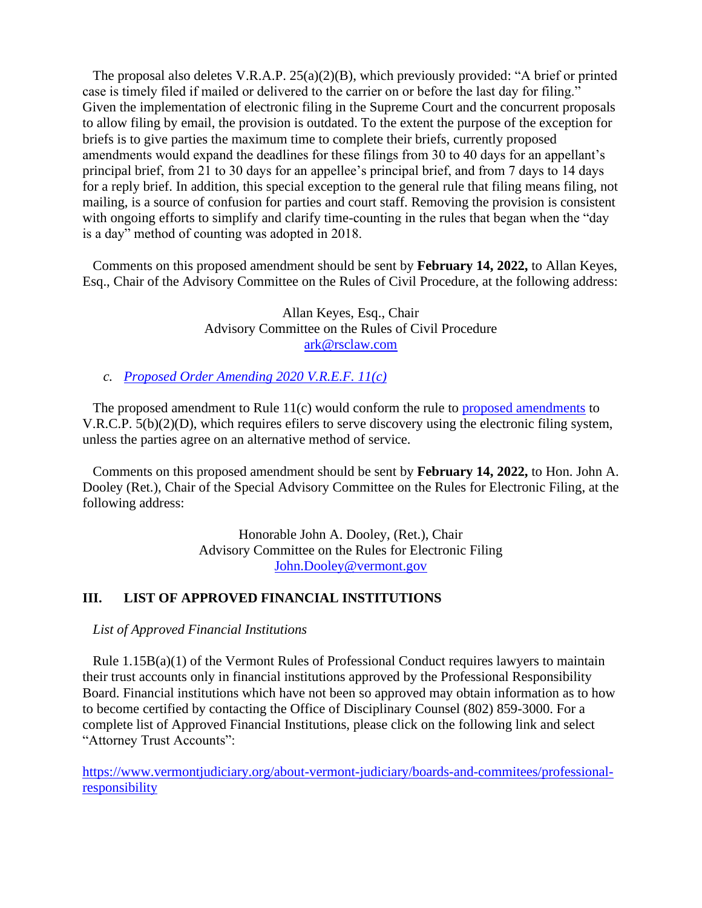The proposal also deletes V.R.A.P. 25(a)(2)(B), which previously provided: "A brief or printed case is timely filed if mailed or delivered to the carrier on or before the last day for filing." Given the implementation of electronic filing in the Supreme Court and the concurrent proposals to allow filing by email, the provision is outdated. To the extent the purpose of the exception for briefs is to give parties the maximum time to complete their briefs, currently proposed amendments would expand the deadlines for these filings from 30 to 40 days for an appellant's principal brief, from 21 to 30 days for an appellee's principal brief, and from 7 days to 14 days for a reply brief. In addition, this special exception to the general rule that filing means filing, not mailing, is a source of confusion for parties and court staff. Removing the provision is consistent with ongoing efforts to simplify and clarify time-counting in the rules that began when the "day is a day" method of counting was adopted in 2018.

Comments on this proposed amendment should be sent by **February 14, 2022,** to Allan Keyes, Esq., Chair of the Advisory Committee on the Rules of Civil Procedure, at the following address:

> Allan Keyes, Esq., Chair Advisory Committee on the Rules of Civil Procedure [ark@rsclaw.com](mailto:ark@rsclaw.com)

*c. [Proposed Order Amending 2020 V.R.E.F. 11\(c\)](https://www.vermontjudiciary.org/sites/default/files/documents/PROPOSED2020VREF11%28c%29--FOR%20COMMENT.pdf)*

The proposed amendment to Rule 11(c) would conform the rule to [proposed amendments](https://www.vermontjudiciary.org/sites/default/files/documents/PROPOSEDVRCP%205_6%28a%29%284%29_29_79.1--FOR%20COMMENT.pdf) to V.R.C.P. 5(b)(2)(D), which requires efilers to serve discovery using the electronic filing system, unless the parties agree on an alternative method of service.

Comments on this proposed amendment should be sent by **February 14, 2022,** to Hon. John A. Dooley (Ret.), Chair of the Special Advisory Committee on the Rules for Electronic Filing, at the following address:

> Honorable John A. Dooley, (Ret.), Chair Advisory Committee on the Rules for Electronic Filing [John.Dooley@vermont.gov](mailto:John.Dooley@vermont.gov)

## **III. LIST OF APPROVED FINANCIAL INSTITUTIONS**

*List of Approved Financial Institutions*

Rule 1.15B(a)(1) of the Vermont Rules of Professional Conduct requires lawyers to maintain their trust accounts only in financial institutions approved by the Professional Responsibility Board. Financial institutions which have not been so approved may obtain information as to how to become certified by contacting the Office of Disciplinary Counsel (802) 859-3000. For a complete list of Approved Financial Institutions, please click on the following link and select "Attorney Trust Accounts":

[https://www.vermontjudiciary.org/about-vermont-judiciary/boards-and-commitees/professional](https://www.vermontjudiciary.org/about-vermont-judiciary/boards-and-commitees/professional-responsibility)[responsibility](https://www.vermontjudiciary.org/about-vermont-judiciary/boards-and-commitees/professional-responsibility)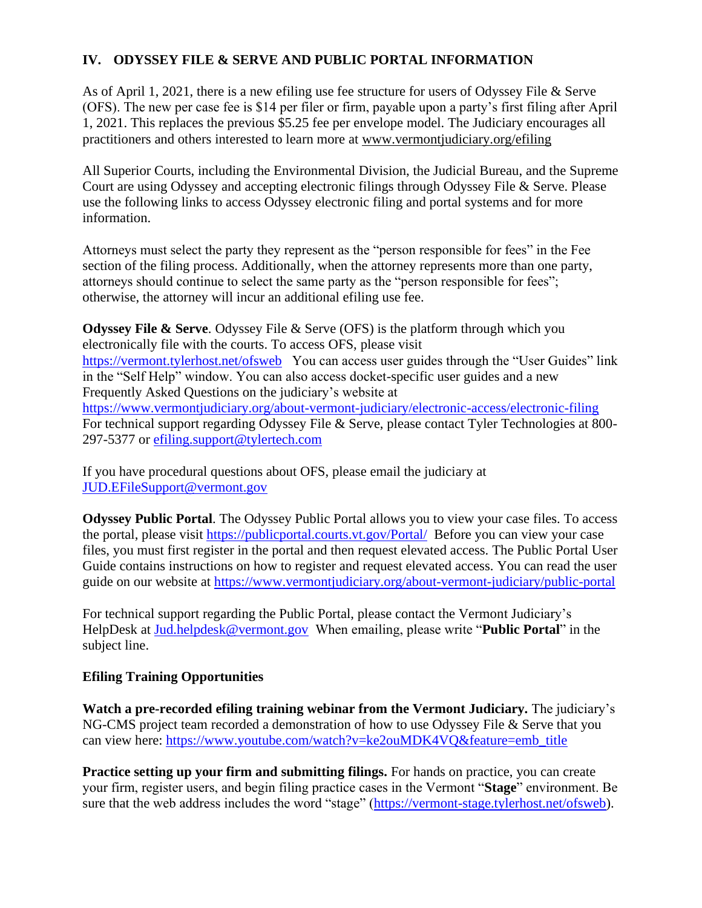# **IV. ODYSSEY FILE & SERVE AND PUBLIC PORTAL INFORMATION**

As of April 1, 2021, there is a new efiling use fee structure for users of Odyssey File & Serve (OFS). The new per case fee is \$14 per filer or firm, payable upon a party's first filing after April 1, 2021. This replaces the previous \$5.25 fee per envelope model. The Judiciary encourages all practitioners and others interested to learn more at [www.vermontjudiciary.org/efiling](https://www.vermontjudiciary.org/efiling)

All Superior Courts, including the Environmental Division, the Judicial Bureau, and the Supreme Court are using Odyssey and accepting electronic filings through Odyssey File & Serve. Please use the following links to access Odyssey electronic filing and portal systems and for more information.

Attorneys must select the party they represent as the "person responsible for fees" in the Fee section of the filing process. Additionally, when the attorney represents more than one party, attorneys should continue to select the same party as the "person responsible for fees"; otherwise, the attorney will incur an additional efiling use fee.

**Odyssey File & Serve.** Odyssey File & Serve (OFS) is the platform through which you electronically file with the courts. To access OFS, please visit <https://vermont.tylerhost.net/ofsweb>You can access user guides through the "User Guides" link in the "Self Help" window. You can also access docket-specific user guides and a new Frequently Asked Questions on the judiciary's website at <https://www.vermontjudiciary.org/about-vermont-judiciary/electronic-access/electronic-filing> For technical support regarding Odyssey File & Serve, please contact Tyler Technologies at 800- 297-5377 or [efiling.support@tylertech.com](mailto:efiling.support@tylertech.com)

If you have procedural questions about OFS, please email the judiciary at [JUD.EFileSupport@vermont.gov](mailto:JUD.EFileSupport@vermont.gov)

**Odyssey Public Portal**. The Odyssey Public Portal allows you to view your case files. To access the portal, please visit<https://publicportal.courts.vt.gov/Portal/> Before you can view your case files, you must first register in the portal and then request elevated access. The Public Portal User Guide contains instructions on how to register and request elevated access. You can read the user guide on our website at<https://www.vermontjudiciary.org/about-vermont-judiciary/public-portal>

For technical support regarding the Public Portal, please contact the Vermont Judiciary's HelpDesk at [Jud.helpdesk@vermont.gov](mailto:Jud.helpdesk@vermont.gov) When emailing, please write "**Public Portal**" in the subject line.

## **Efiling Training Opportunities**

**Watch a pre-recorded efiling training webinar from the Vermont Judiciary.** The judiciary's NG-CMS project team recorded a demonstration of how to use Odyssey File & Serve that you can view here: [https://www.youtube.com/watch?v=ke2ouMDK4VQ&feature=emb\\_title](https://www.youtube.com/watch?v=ke2ouMDK4VQ&feature=emb_title)

**Practice setting up your firm and submitting filings.** For hands on practice, you can create your firm, register users, and begin filing practice cases in the Vermont "**Stage**" environment. Be sure that the web address includes the word "stage" [\(https://vermont-stage.tylerhost.net/ofsweb\)](https://vermont-stage.tylerhost.net/ofsweb).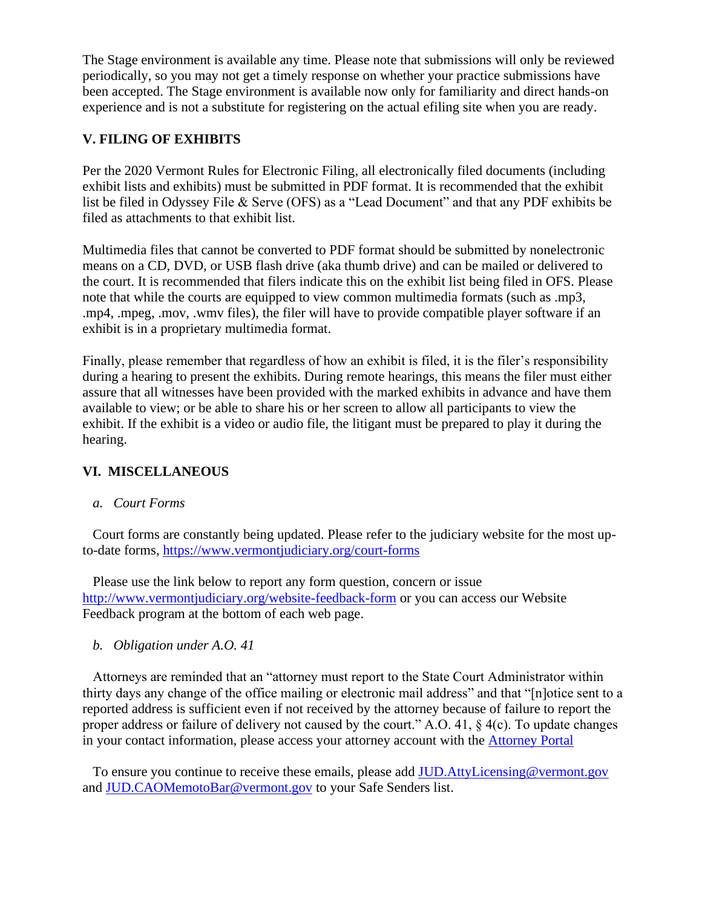The Stage environment is available any time. Please note that submissions will only be reviewed periodically, so you may not get a timely response on whether your practice submissions have been accepted. The Stage environment is available now only for familiarity and direct hands-on experience and is not a substitute for registering on the actual efiling site when you are ready.

## **V. FILING OF EXHIBITS**

Per the 2020 Vermont Rules for Electronic Filing, all electronically filed documents (including exhibit lists and exhibits) must be submitted in PDF format. It is recommended that the exhibit list be filed in Odyssey File & Serve (OFS) as a "Lead Document" and that any PDF exhibits be filed as attachments to that exhibit list.

Multimedia files that cannot be converted to PDF format should be submitted by nonelectronic means on a CD, DVD, or USB flash drive (aka thumb drive) and can be mailed or delivered to the court. It is recommended that filers indicate this on the exhibit list being filed in OFS. Please note that while the courts are equipped to view common multimedia formats (such as .mp3, .mp4, .mpeg, .mov, .wmv files), the filer will have to provide compatible player software if an exhibit is in a proprietary multimedia format.

Finally, please remember that regardless of how an exhibit is filed, it is the filer's responsibility during a hearing to present the exhibits. During remote hearings, this means the filer must either assure that all witnesses have been provided with the marked exhibits in advance and have them available to view; or be able to share his or her screen to allow all participants to view the exhibit. If the exhibit is a video or audio file, the litigant must be prepared to play it during the hearing.

## **VI. MISCELLANEOUS**

*a. Court Forms*

Court forms are constantly being updated. Please refer to the judiciary website for the most upto-date forms,<https://www.vermontjudiciary.org/court-forms>

Please use the link below to report any form question, concern or issue <http://www.vermontjudiciary.org/website-feedback-form> or you can access our Website Feedback program at the bottom of each web page.

*b. Obligation under A.O. 41*

Attorneys are reminded that an "attorney must report to the State Court Administrator within thirty days any change of the office mailing or electronic mail address" and that "[n]otice sent to a reported address is sufficient even if not received by the attorney because of failure to report the proper address or failure of delivery not caused by the court." A.O. 41, § 4(c). To update changes in your contact information, please access your attorney account with the [Attorney Portal](https://vermont.tylerhost.net/TylerFamis/ui/dashboard)

To ensure you continue to receive these emails, please add [JUD.AttyLicensing@vermont.gov](mailto:JUD.AttyLicensing@vermont.gov) and [JUD.CAOMemotoBar@vermont.gov](mailto:JUD.CAOMemotoBar@vermont.gov) to your Safe Senders list.